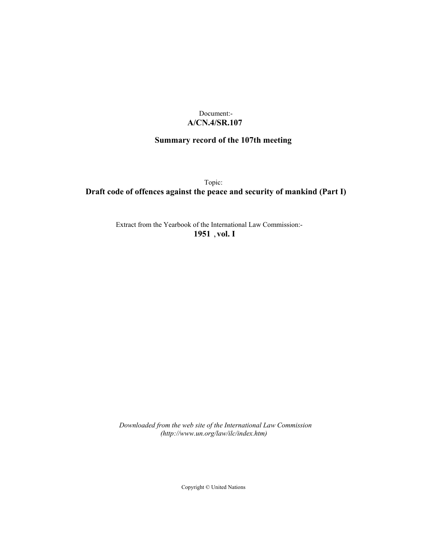# Document:- **A/CN.4/SR.107**

# **Summary record of the 107th meeting**

Topic:

**Draft code of offences against the peace and security of mankind (Part I)**

Extract from the Yearbook of the International Law Commission:- **1951** ,**vol. I**

*Downloaded from the web site of the International Law Commission (http://www.un.org/law/ilc/index.htm)*

Copyright © United Nations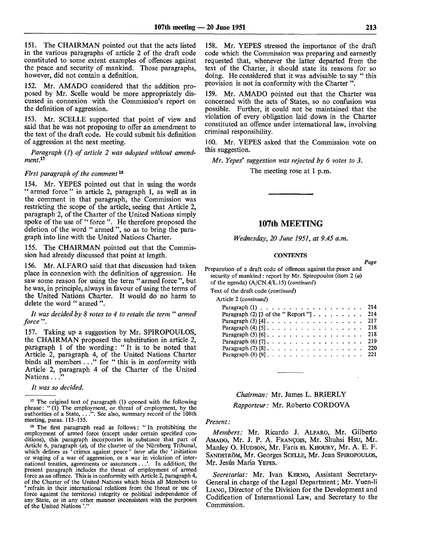151. The CHAIRMAN pointed out that the acts listed in the various paragraphs of article 2 of the draft code constituted to some extent examples of offences against the peace and security of mankind. Those paragraphs, however, did not contain a definition.

152. Mr. AMADO considered that the addition proposed by Mr. Scelle would be more appropriately discussed in connexion with the Commission's report on the definition of aggression.

153. Mr. SCELLE supported that point of view and said that he was not proposing *to* offer an amendment to the text of the draft code. He could submit his definition of aggression at the next meeting.

*Paragraph (1) of article 2 was adopted without amendment.<sup>1</sup> ''*

#### *First paragraph of the comment*<sup>18</sup>

154. Mr. YEPES pointed out that in using the words "armed force" in article 2, paragraph 1, as well as in the comment in that paragraph, the Commission was restricting the scope of the article, seeing that Article 2, paragraph 2, of the Charter of the United Nations simply spoke of the use of " force ". He therefore proposed the deletion of the word " armed ", so as to bring the paragraph into line with the United Nations Charter.

155. The CHAIRMAN pointed out that the Commission had already discussed that point at length.

156. Mr. ALFARO said that that discussion had taken place in connexion with the definition of aggression. He saw some reason for using the term "armed force", but he was, in principle, always in favour of using the terms of the United Nations Charter. It would do no harm to delete the word " armed ".

*It was decided by 8 votes to 4 to retain the term* " *armed force* ".

157. Taking up a suggestion by Mr. SPIROPOULOS, the CHAIRMAN proposed the substitution in article 2, paragraph 1 of the wording: " It is to be noted that Article 2, paragraph 4, of the United Nations Charter binds all members ... " for " this is in conformity with Article 2, paragraph 4 of the Charter of the United Nations . . ."

*It was so decided.*

158. Mr. YEPES stressed the importance of the draft code which the Commission was preparing and earnestly requested that, whenever the latter departed from the text of the Charter, it should state its reasons for so doing. He considered that it was advisable to say " this provision is not in conformity with the Charter ".

159. Mr. AMADO pointed out that the Charter was concerned with the acts of States, so no confusion was possible. Further, it could not be maintained that the violation of every obligation laid down in the Charter constituted an offence under international law, involving criminal responsibility.

160. Mr. YEPES asked that the Commission vote on this suggestion.

*Mr. Yepes' suggestion was rejected by 6 votes to 3.*

The meeting rose at 1 p.m.

# 107th MEETING

*Wednesday, 20 June 1951, at 9.45 a.m.*

#### **CONTENTS**

*Page*

Preparation of a draft code of offences against the peace and security of mankind: report by Mr. Spiropoulos (item  $2(a)$ of the agenda) (A/CN.4/L.15) *{continued)*

Text of the draft code *{continued)*

| Paragraph $(1)$ , , , , , , , , , , , , , , , , , 214                              |  |  |  |  |  |  |  |  |  |     |
|------------------------------------------------------------------------------------|--|--|--|--|--|--|--|--|--|-----|
| Paragraph (2) [3 of the "Report"] 214                                              |  |  |  |  |  |  |  |  |  |     |
| Paragraph (3) [4] 217                                                              |  |  |  |  |  |  |  |  |  |     |
|                                                                                    |  |  |  |  |  |  |  |  |  |     |
|                                                                                    |  |  |  |  |  |  |  |  |  |     |
| Paragraph $(6)$ [7] $\ldots$ $\ldots$ $\ldots$ $\ldots$ $\ldots$ $\ldots$ $\ldots$ |  |  |  |  |  |  |  |  |  | 219 |
| Paragraph $(7)$ [8] $\ldots$ $\ldots$ $\ldots$ $\ldots$ $\ldots$ $\ldots$ $\ldots$ |  |  |  |  |  |  |  |  |  | 220 |
| Paragraph $(8)$ [9] 221                                                            |  |  |  |  |  |  |  |  |  |     |
|                                                                                    |  |  |  |  |  |  |  |  |  |     |

*Chairman:* Mr. James L. BRIERLY *Rapporteur:* Mr. Roberto CORDOVA

#### *Present:*

*Members:* Mr. Ricardo J. ALFARO, Mr. Gilberto AMADO, Mr. J. P. A. FRANCOIS, Mr. Shuhsi Hsu, Mr. Manley O. HUDSON, Mr. Faris EL KHOURY, Mr. A. E. F. SANDSTROM, Mr. Georges SCELLE, Mr. Jean SPIROPOULOS, Mr. Jesús María YEPES.

*Secretariat:* Mr. Ivan KERNO, Assistant Secretary-General in charge of the Legal Department; Mr. Yuen-li LIANG, Director of the Division for the Development and Codification of International Law, and Secretary to the Commission.

<sup>&</sup>lt;sup>17</sup> The original text of paragraph (1) opened with the following phrase: " (1) The employment, or threat of employment, by the authorities of a State, . . .". See also, summary record of the 108th meeting, paras. 115-155.

<sup>&</sup>lt;sup>18</sup> The first paragraph read as follows: "In prohibiting the employment of armed force (except under certain specified conditions), this paragraph incorporates in substance that part of Article 6, paragraph *(a),* of the charter of the Nurnberg Tribunal, which defines as ' crimes against peace' *inter alia* the ' initiation or waging of a war of aggression, or a war in violation of international treaties, agreements or assurances...'. In addition, the present paragraph includes the threat of employment of armed force as an offence. This is in conformity with Article 2, paragraph 4, of the Charter of the United Nations which binds all Members to refrain in their international relations from the threat or use of force against the territorial integrity or political independence of any State, or in any other manner inconsistent with the purposes of the United Nations'."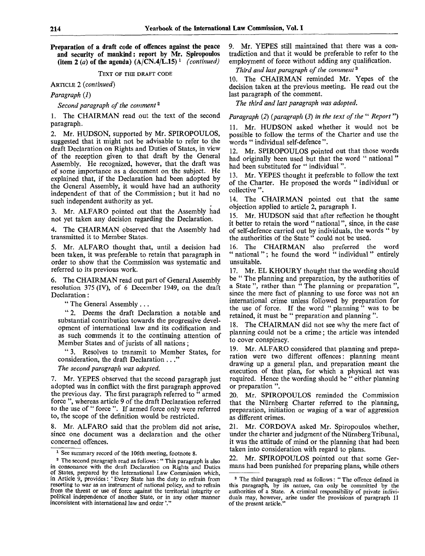**Preparation of a draft code of offences against the peace and security of mankind: report by Mr. Spiropoulos** (item 2  $(a)$  of the agenda)  $(A/CN.4/L.15)^{-1}$  *(continued)* 

TEXT OF THE DRAFT CODE

ARTICLE *2 (continued)*

*Paragraph (1)*

*Second paragraph of the comment<sup>2</sup>*

1. The CHAIRMAN read out the text of the second paragraph.

2. Mr. HUDSON, supported by Mr. SPIROPOULOS, suggested that it might not be advisable to refer to the draft Declaration on Rights and Duties of States, in view of the reception given to that draft by the General Assembly. He recognized, however, that the draft was of some importance as a document on the subject. He explained that, if the Declaration had been adopted by the General Assembly, it would have had an authority independent of that of the Commission; but it had no such independent authority as yet.

3. Mr. ALFARO pointed out that the Assembly had not yet taken any decision regarding the Declaration.

4. The CHAIRMAN observed that the Assembly had transmitted it to Member States.

5. Mr. ALFARO thought that, until a decision had been taken, it was preferable to retain that paragraph in order to show that the Commission was systematic and referred to its previous work.

6. The CHAIRMAN read out part of General Assembly resolution 375 (IV), of 6 December 1949, on the draft Declaration:

" The General Assembly .. .

" 2. Deems the draft Declaration a notable and substantial contribution towards the progressive development of international law and its codification and as such commends it to the continuing attention of Member States and of jurists of all nations;

" 3. Resolves to transmit to Member States, for consideration, the draft Declaration ... "

*The second paragraph was adopted.*

7. Mr. YEPES observed that the second paragraph just adopted was in conflict with the first paragraph approved the previous day. The first paragraph referred to " armed force ", whereas article 9 of the draft Declaration referred to the use of " force ". If armed force only were referred to, the scope of the definition would be restricted.

8. Mr. ALFARO said that the problem did not arise, since one document was a declaration and the other concerned offences.

9. Mr. YEPES still maintained that there was a contradiction and that it would be preferable to refer to the employment of force without adding any qualification.

*Third and last paragraph of the comment*<sup>3</sup>

10. The CHAIRMAN reminded Mr. Yepes of the decision taken at the previous meeting. He read out the last paragraph of the comment.

*The third and last paragraph was adopted.*

*Paragraph (2) (paragraph (3) in the text of the* " *Report*")

11. Mr. HUDSON asked whether it would not be possible to follow the terms of the Charter and use the words " individual self-defence ".

12. Mr. SPIROPOULOS pointed out that those words had originally been used but that the word " national" had been substituted for "individual".

13. Mr. YEPES thought it preferable to follow the text of the Charter. He proposed the words " individual or collective ".

14. The CHAIRMAN pointed out that the same objection applied to article 2, paragraph 1.

15. Mr. HUDSON said that after reflection he thought it better to retain the word " national", since, in the case of self-defence carried out by individuals, the words " by the authorities of the State " could not be used.

16. The CHAIRMAN also preferred the word " national"; he found the word " individual" entirely unsuitable.

17. Mr. EL KHOURY thought that the wording should be " The planning and preparation, by the authorities of a State ", rather than " The planning or preparation ", since the mere fact of planning to use force was not an international crime unless followed by preparation for the use of force. If the word " planning" was to be retained, it must be " preparation and planning ".

The CHAIRMAN did not see why the mere fact of planning could not be a crime; the article was intended to cover conspiracy.

19. Mr. ALFARO considered that planning and preparation were two different offences: planning meant drawing up a general plan, and preparation meant the execution of that plan, for which a physical act was required. Hence the wording should be " either planning or preparation ".

20. Mr. SPIROPOULOS reminded the Commission that the Nurnberg Charter referred to the planning, preparation, initiation or waging of a war of aggression as different crimes.

21. Mr. CORDOVA asked Mr. Spiropoulos whether, under the charter and judgment of the Nurnberg Tribunal, it was the attitude of mind or the planning that had been taken into consideration with regard to plans.

Mr. SPIROPOULOS pointed out that some Germans had been punished for preparing plans, while others

<sup>&</sup>lt;sup>1</sup> See summary record of the 106th meeting, footnote 8.

<sup>&</sup>lt;sup>2</sup> The second paragraph read as follows: "This paragraph is also in consonance with the draft Declaration on Rights and Duties of States, prepared by the International Law Commission which, in Article 9, provides: ' Every State has the duty to refrain from resorting to war as an instrument of national policy, and to refrain from the threat or use of force against the territorial integrity or political independence of another State, or in any other manner inconsistent with international law and order '."

<sup>&</sup>lt;sup>3</sup> The third paragraph read as follows: "The offence defined in this paragraph, by its nature, can only be committed by the authorities of a State. A criminal responsibility of private individuals may, however, arise under the provisions of paragraph 11 of the present article."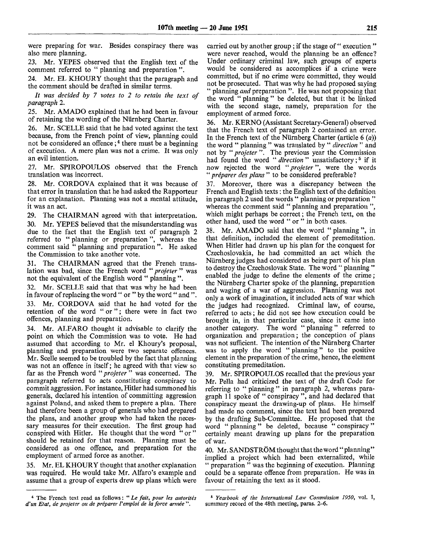were preparing for war. Besides conspiracy there was also mere planning.

23. Mr. YEPES observed that the English text of the comment referred to " planning and preparation".

24. Mr. EL KHOURY thought that the paragraph and the comment should be drafted in similar terms.

*It was decided by 7 votes to 2 to retain the text of paragraph 2.*

25. Mr. AM ADO explained that he had been in favour of retaining the wording of the Niirnberg Charter.

26. Mr. SCELLE said that he had voted against the text because, from the French point of view, planning could not be considered an offence;*<sup>i</sup>* there must be a beginning of execution. A mere plan was not a crime. It was only an evil intention.

27. Mr. SPIROPOULOS observed that the French translation was incorrect.

28. Mr. CORDOVA explained that it was because of that error in translation that he had asked the Rapporteur for an explanation. Planning was not a mental attitude, it was an act.

29. The CHAIRMAN agreed with that interpretation. 30. Mr. YEPES believed that the misunderstanding was due to the fact that the English text of paragraph 2 referred to " planning or preparation", whereas the comment said " planning and preparation ". He asked the Commission to take another vote.

31. The CHAIRMAN agreed that the French translation was bad, since the French word " *projeter* " was not the equivalent of the English word " planning ".

32. Mr. SCELLE said that that was why he had been in favour of replacing the word " or " by the word " and ".

33. Mr. CORDOVA said that he had voted for the retention of the word "or"; there were in fact two offences, planning and preparation.

34. Mr. ALFARO thought it advisable to clarify the point on which the Commission was to vote. He had assumed that according to Mr. el Khoury's proposal, planning and preparation were two separate offences. Mr. Scelle seemed to be troubled by the fact that planning was not an offence in itself; he agreed with that view so far as the French word *"projeter* " was concerned. The paragraph referred to acts constituting conspiracy to commit aggression. For instance, Hitler had summoned his generals, declared his intention of committing aggression against Poland, and asked them to prepare a plan. There had therefore been a group of generals who had prepared the plans, and another group who had taken the necessary measures for their execution. The first group had conspired with Hitler. He thought that the word "or" should be retained for that reason. Planning must be considered as one offence, and preparation for the employment of armed force as another.

35. Mr. EL KHOURY thought that another explanation was required. He would take Mr. Alfaro's example and assume that a group of experts drew up plans which were carried out by another group; if the stage of "execution" were never reached, would the planning be an offence? Under ordinary criminal law, such groups of experts would be considered as accomplices if a crime were committed, but if no crime were committed, they would not be prosecuted. That was why he had proposed saying " planning *and* preparation ". He was not proposing that the word " planning " be deleted, but that it be linked with the second stage, namely, preparation for the employment of armed force.

36. Mr. KERNO (Assistant Secretary-General) observed that the French text of paragraph 2 contained an error. In the French text of the Niirnberg Charter (article 6 *(a))* the word " planning " was translated by " *direction "* and not by " *projeter ".* The previous year the Commission had found the word " direction" unsatisfactory;<sup>5</sup> if it now rejected the word *"projeter",* were the words " *priparer des plans "* to be considered preferable?

37. Moreover, there was a discrepancy between the French and English texts : the English text of the definition in paragraph 2 used the words " planning or preparation" whereas the comment said " planning and preparation", which might perhaps be correct; the French text, on the other hand, used the word " or " in both cases.

38. Mr. AMADO said that the word " planning ", in that definition, included the element of premeditation. When Hitler had drawn up his plan for the conquest for Czechoslovakia, he had committed an act which the Niirnberg judges had considered as being part of his plan to destroy the Czechoslovak State. The word " planning " enabled the judge to define the elements of the crime*;* the Niirnberg Charter spoke of the planning, preparation and waging of a war of aggression. Planning was not only a work of imagination, it included acts of war which the judges had recognized. Criminal law, of course, referred to acts; he did not see how execution could be brought in, in that particular case, since it came into another category. The word " planning " referred to organization and preparation; the conception of plans was not sufficient. The intention of the Niirnberg Charter was to apply the word " planning" to the positive element in the preparation of the crime, hence, the element constituting premeditation.

39. Mr. SPIROPOULOS recalled that the previous year Mr. Pella had criticized the text of the draft Code for referring to " planning " in paragraph 2, whereas paragraph 11 spoke of " conspiracy ", and had declared that conspiracy meant the drawing-up of plans. He himself had made no comment, since the text had been prepared by the drafting Sub-Committee. He proposed that the word " planning " be deleted, because " conspiracy " certainly meant drawing up plans for the preparation of war.

40. Mr. SANDSTRÖM thought that the word "planning" implied a project which had been externalized, while " preparation " was the beginning of execution. Planning could be a separate offence from preparation. He was in favour of retaining the text as it stood.

<sup>4</sup> The French text read as follows: " *Le fait, pour les autorites d'un Etat, de projeter ou de preparer Vemploi de la force armee* ".

<sup>6</sup>  *Yearbook of the International Law Commission 1950,* vol. T, summary record of the 48th meeting, paras. 2-6.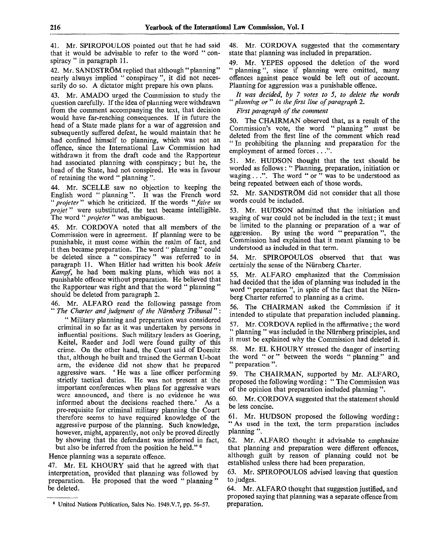41. Mr. SPIROPOULOS pointed out that he had said that it would be advisable to refer to the word " conspiracy " in paragraph 11.

42. Mr. SANDSTRÖM replied that although "planning" nearly always implied " conspiracy", it did not necessarily do so. A dictator might prepare his own plans.

43. Mr. AMADO urged the Commission to study the question carefully. If the idea of planning were withdrawn from the comment accompanying the text, that decision would have far-reaching consequences. If in future the head of a State made plans for a war of aggression and subsequently suffered defeat, he would maintain that he had confined himself to planning, which was not an offence, since the International Law Commission had withdrawn it from the draft code and the Rapporteur had associated planning with conspiracy; but he, the head of the State, had not conspired. He was in favour of retaining the word " planning ".

44. Mr. SCELLE saw no objection to keeping the English word " planning ". It was the French word " *projeter"* which he criticized. If the words *"faire un projet*" were substituted, the text became intelligible. The word " *projeter* " was ambiguous.

45. Mr. CORDOVA noted that all members of the Commission were in agreement. If planning were to be punishable, it must come within the realm of fact, and it then became preparation. The word " planning " could be deleted since a " conspiracy" was referred to in paragraph 11. When Hitler had written his book *Mein Kampf,* he had been making plans, which was not a punishable offence without preparation. He believed that the Rapporteur was right and that the word " planning " should be deleted from paragraph 2.

46. Mr. ALFARO read the following passage from " *The Charter and judgment of the Nurnberg Tribunal*" :

" Military planning and preparation was considered criminal in so far as it was undertaken by persons in influential positions. Such military leaders as Goering, Keitel, Raeder and Jodl were found guilty of this crime. On the other hand, the Court said of Doenitz that, although he built and trained the German U-boat arm, the evidence did not show that he prepared aggressive wars. ' He was a line officer performing strictly tactical duties. He was not present at the important conferences when plans for aggressive wars were announced, and there is no evidence he was informed about the decisions reached there.' As a pre-requisite for criminal military planning the Court therefore seems to have required knowledge of the aggressive purpose of the planning. Such knowledge, however, might, apparently, not only be proved directly by showing that the defendant was informed in fact, but also be inferred from the position he held."<sup>6</sup>

Hence planning was a separate offence.

47. Mr. EL KHOURY said that he agreed with that interpretation, provided that planning was followed by preparation. He proposed that the word " planning" be deleted.

48. Mr. CORDOVA suggested that the commentary state that planning was included in preparation.

49. Mr. YEPES opposed the deletion of the word " planning", since if planning were omitted, many offences against peace would be left out of account. Planning for aggression was a punishable offence.

*It was decided, by 7 votes to 5, to delete the words* " *planning or* " *in the first line of paragraph 2.*

*First paragraph of the comment*

50. The CHAIRMAN observed that, as a result of the Commission's vote, the word " planning" must be deleted from the first line of the comment which read " In prohibiting the planning and preparation for the employment of armed forces . . .".

51. Mr. HUDSON thought that the text should be worded as follows: '\* Planning, preparation, initiation or waging .. .". The word " or " was to be understood as being repeated between each of those words.

52. Mr. SANDSTRÖM did not consider that all those words could be included.

53. Mr. HUDSON admitted that the initiation and waging of war could not be included in the text; it must be limited to the planning or preparation of a war of aggression. By using the word " preparation ", the Commission had explained that it meant planning to be understood as included in that term.

54. Mr. SPIROPOULOS observed that that was certainly the sense of the Nurnberg Charter.

55. Mr. ALFARO emphasized that the Commission had decided that the idea of planning was included in the word " preparation ", in spite of the fact that the Nurnberg Charter referred to planning as a crime.

56. The CHAIRMAN asked the Commission if it intended to stipulate that preparation included planning.

57. Mr. CORDOVA replied in the affirmative; the word planning " was included in the Nürnberg principles, and it must be explained why the Commission had deleted it.

58. Mr. EL KHOURY stressed the danger of inserting the word " or " between the words " planning " and " preparation ".

59. The CHAIRMAN, supported by Mr. ALFARO, proposed the following wording: " The Commission was of the opinion that preparation included planning ".

60. Mr. CORDOVA suggested that the statement should be less concise.

61. Mr. HUDSON proposed the following wording: " As used in the text, the term preparation includes planning ".

62. Mr. ALFARO thought it advisable to emphasize that planning and preparation were different offences, although guilt by reason of planning could not be established unless there had been preparation.

63. Mr. SPIROPOULOS advised leaving that question to judges.

64. Mr. ALFARO thought that suggestion justified, and proposed saying that planning was a separate offence from preparation.

<sup>6</sup> United Nations Publication, Sales No. 1949.V.7, pp. 56-57.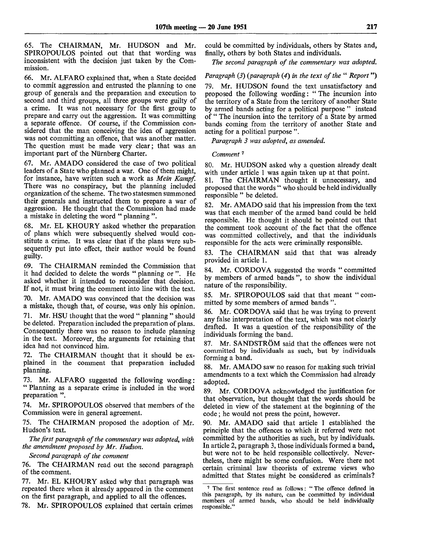65. The CHAIRMAN, Mr. HUDSON and Mr. SPIROPOULOS pointed out that that wording was inconsistent with the decision just taken by the Commission.

66. Mr. ALFARO explained that, when a State decided to commit aggression and entrusted the planning to one group of generals and the preparation and execution to second and third groups, all three groups were guilty of a crime. It was not necessary for the first group to prepare and carry out the aggression. It was committing a separate offence. Of course, if the Commission considered that the man conceiving the idea of aggression was not committing an offence, that was another matter. The question must be made very clear; that was an important part of the Niirnberg Charter.

67. Mr. AMADO considered the case of two political leaders of a State who planned a war. One of them might, for instance, have written such a work as *Mein Kampf.* There was no conspiracy, but the planning included organization of the scheme. The two statesmen summoned their generals and instructed them to prepare a war of aggression. He thought that the Commission had made a mistake in deleting the word " planning ".

68. Mr. EL KHOURY asked whether the preparation of plans which were subsequently shelved would constitute a crime. It was clear that if the plans were subsequently put into effect, their author would be found guilty.

69. The CHAIRMAN reminded the Commission that it had decided to delete the words " planning or ". He asked whether it intended to reconsider that decision. If not, it must bring the comment into line with the text.

70. Mr. AMADO was convinced that the decision was a mistake, though that, of course, was only his opinion.

71. Mr. HSU thought that the word " planning " should be deleted. Preparation included the preparation of plans. Consequently there was no reason to include planning in the text. Moreover, the arguments for retaining that idea had not convinced him.

72. The CHAIRMAN thought that it should be explained in the comment that preparation included planning.

73. Mr. ALFARO suggested the following wording: " Planning as a separate crime is included in the word preparation ".

74. Mr. SPIROPOULOS observed that members of the Commission were in general agreement.

75. The CHAIRMAN proposed the adoption of Mr. Hudson's text.

*The first paragraph of the commentary was adopted, with the amendment proposed by Mr. Hudson.*

*Second paragraph of the comment*

76. The CHAIRMAN read out the second paragraph of the comment.

77. Mr. EL KHOURY asked why that paragraph was repeated there when it already appeared in the comment on the first paragraph, and applied to all the offences.

78. Mr. SPIROPOULOS explained that certain crimes

could be committed by individuals, others by States and, finally, others by both States and individuals.

*The second paragraph of the commentary was adopted.*

*Paragraph* (3) (paragraph (4) in the text of the "*Report*")

79. Mr. HUDSON found the text unsatisfactory and proposed the following wording: " The incursion into the territory of a State from the territory of another State by armed bands acting for a political purpose " instead of " The incursion into the territory of a State by armed bands coming from the territory of another State and acting for a political purpose ".

*Paragraph 3 was adopted, as amended.*

## Comment<sup>7</sup>

80. Mr. HUDSON asked why a question already dealt with under article 1 was again taken up at that point.

81. The CHAIRMAN thought it unnecessary, and proposed that the words " who should be held individually responsible " be deleted.

82. Mr. AMADO said that his impression from the text was that each member of the armed band could be held responsible. He thought it should be pointed out that the comment took account of the fact that the offence was committed collectively, and that the individuals responsible for the acts were criminally responsible.

83. The CHAIRMAN said that that was already provided in article 1.

84. Mr. CORDOVA suggested the words " committed by members of armed bands ", to show the individual nature of the responsibility.

85. Mr. SPIROPOULOS said that that meant " committed by some members of armed bands ".

86. Mr. CORDOVA said that he was trying to prevent any false interpretation of the text, which was not clearly drafted. It was a question of the responsibility of the individuals forming the band.

87. Mr. SANDSTRÖM said that the offences were not committed by individuals as such, but by individuals forming a band.

88. Mr. AMADO saw no reason for making such trivial amendments to a text which the Commission had already adopted.

89. Mr. CORDOVA acknowledged the justification for that observation, but thought that the words should be deleted in view of the statement at the beginning of the code; he would not press the point, however.

90. Mr. AMADO said that article 1 established the principle that the offences to which it referred were not committed by the authorities as such, but by individuals. In article 2, paragraph 3, those individuals formed a band, but were not to be held responsible collectively. Nevertheless, there might be some confusion. Were there not certain criminal law theorists of extreme views who admitted that States might be considered as criminals?

<sup>7</sup> The first sentence read as follows: " The offence defined in this paragraph, by its nature, can be committed by individual members of armed bands, who should be held individually responsible."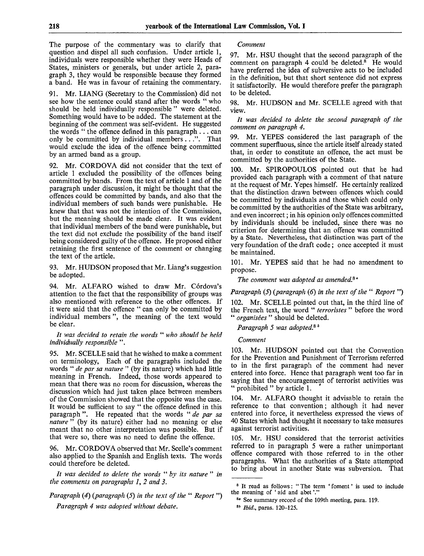The purpose of the commentary was to clarify that question and dispel all such confusion. Under article 1, individuals were responsible whether they were Heads of States, ministers or generals, but under article 2, paragraph 3, they would be responsible because they formed a band. He was in favour of retaining the commentary.

91. Mr. LIANG (Secretary to the Commission) did not see how the sentence could stand after the words " who should be held individually responsible " were deleted. Something would have to be added. The statement at the beginning of the comment was self-evident. He suggested the words " the offence defined in this paragraph  $\dots$  can only be committed by individual members . ...". That would exclude the idea of the offence being committed by an armed band as a group.

92. Mr. CORDOVA did not consider that the text of article 1 excluded the possibility of the offences being committed by bands. From the text of article 1 and of the paragraph under discussion, it might be thought that the offences could be committed by bands, and also that the individual members of such bands were punishable. He knew that that was not the intention of the Commission, but the meaning should be made clear. It was evident that individual members of the band were punishable, but the text did not exclude the possibility of the band itself being considered guilty of the offence. He proposed either retaining the first sentence of the comment or changing the text of the article.

93. Mr. HUDSON proposed that Mr. Liang's suggestion be adopted.

94. Mr. ALFARO wished to draw Mr. Córdova's attention to the fact that the responsibility of groups was also mentioned with reference to the other offences. If it were said that the offence " can only be committed by individual members ", the meaning of the text would be clear.

#### *It was decided to retain the words* " *who should be held individually responsible* ".

95. Mr. SCELLE said that he wished to make a comment on terminology, Each of the paragraphs included the words " *de par sa nature* " (by its nature) which had little meaning in French. Indeed, those words appeared to mean that there was no room for discussion, whereas the discussion which had just taken place between members of the Commission showed that the opposite was the case. It would be sufficient to say " the offence defined in this paragraph ". He repeated that the words " *de par sa nature*<sup>25</sup> (by its nature) either had no meaning or else meant that no other interpretation was possible. But if that were so, there was no need to define the offence.

96. Mr. CORDOVA observed that Mr. Scelle's comment also applied to the Spanish and English texts. The words could therefore be deleted.

*It was decided to delete the words* " *by its nature* " *in the comments on paragraphs 1, 2 and 3.*

*Paragraph (4) (paragraph (5) in the text of the* " *Report* ") *Paragraph 4 was adopted without debate.*

*Comment*

97. Mr. HSU thought that the second paragraph of the comment on paragraph 4 could be deleted.<sup>8</sup> He would have preferred the idea of subversive acts to be included in the definition, but that short sentence did not express it satisfactorily. He would therefore prefer the paragraph to be deleted.

98. Mr. HUDSON and Mr. SCELLE agreed with that view.

*It was decided to delete the second paragraph of the comment on paragraph 4.*

99. Mr. YEPES considered the last paragraph of the comment superfluous, since the article itself already stated that, in order to constitute an offence, the act must be committed by the authorities of the State.

100. Mr. SPIROPOULOS pointed out that he had provided each paragraph with a comment of that nature at the request of Mr. Yepes himself. He certainly realized that the distinction drawn between offences which could be committed by individuals and those which could only be committed by the authorities of the State was arbitrary, and even incorrect; in his opinion only offences committed by individuals should be included, since there was no criterion for determining that an offence was committed by a State. Nevertheless, that distinction was part of the very foundation of the draft code; once accepted it must be maintained.

101. Mr. YEPES said that he had no amendment to propose.

*The comment was adopted as amended? °*

## *Paragraph (5) (paragraph (6) in the text of the* " *Report* ")

102. Mr. SCELLE pointed out that, in the third line of the French text, the word " *terroristes* " before the word " *organisees* " should be deleted.

*Paragraph 5 was adopted?<sup>b</sup>*

## *Comment*

103. Mr. HUDSON pointed out that the Convention for the Prevention and Punishment of Terrorism referred to in the first paragraph of the comment had never entered into force. Hence that paragraph went too far in saying that the encouragement of terrorist activities was " prohibited " by article 1.

104. Mr. ALFARO thought it advisable to retain the reference to that convention; although it had never entered into force, it nevertheless expressed the views of 40 States which had thought it necessary to take measures against terrorist activities.

105. Mr. HSU considered that the terrorist activities referred to in paragraph 5 were a rather unimportant offence compared with those referred to in the other paragraphs. What the authorities of a State attempted to bring about in another State was subversion. That

<sup>&</sup>lt;sup>8</sup> It read as follows: "The term 'foment' is used to include the meaning of ' aid and abet'."

<sup>8</sup>ª See summary record of the 109th meeting, para. 119.

<sup>85</sup>  *Ibid.,* paras. 120-125.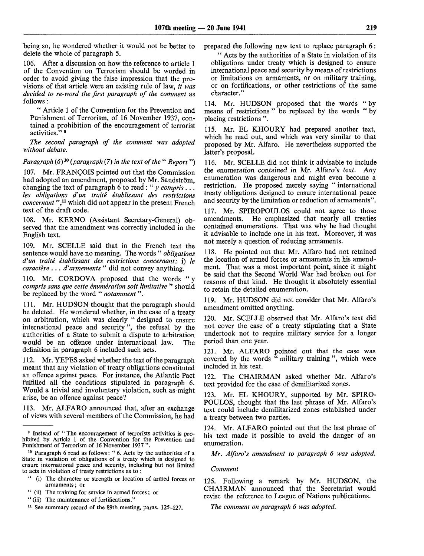being so, he wondered whether it would not be better to delete the whole of paragraph 5.

106. After a discussion on how the reference to article 1 of the Convention on Terrorism should be worded in order to avoid giving the false impression that the provisions of that article were an existing rule of law, *it was decided to re-word the first paragraph of the comment* as follows:

" Article 1 of the Convention for the Prevention and Punishment of Terrorism, of 16 November 1937, contained a prohibition of the encouragement of terrorist activities."<sup>8</sup>

*The second paragraph of the comment was adopted without debate.*

*Paragraph (6)*<sup>10</sup> *(paragraph* (7) *in the text of the " Report*")

107. Mr. FRANCOIS pointed out that the Commission had adopted an amendment, proposed by Mr. Sandström. changing the text of paragraph 6 to read: " *y compris . .. les obligations d'un traite etablissant des restrictions* concernant ",<sup>11</sup> which did not appear in the present French text of the draft code.

108. Mr. KERNO (Assistant Secretary-General) observed that the amendment was correctly included in the English text.

109. Mr. SCELLE said that in the French text the sentence would have no meaning. The words " *obligations d'un traite etablissant des restrictions concernant:* i) *le caractère* . . . *d'armements* " did not convey anything.

110. Mr. CORDOVA proposed that the words " y *compris sans que cette enumeration soit limitative* " should be replaced by the word " *notamment* ".

111. Mr. HUDSON thought that the paragraph should be deleted. He wondered whether, in the case of a treaty on arbitration, which was clearly " designed to ensure international peace and security", the refusal by the authorities of a State to submit a dispute to arbitration would be an offence under international law. The definition in paragraph 6 included such acts.

112. Mr. YEPES asked whether the text of the paragraph meant that any violation of treaty obligations constituted an offence against peace. For instance, the Atlantic Pact fulfilled all the conditions stipulated in paragraph 6. Would a trivial and involuntary violation, such as might arise, be an offence against peace?

113. Mr. ALFARO announced that, after an exchange of views with several members of the Commission, he had prepared the following new text to replace paragraph 6:

" Acts by the authorities of a State in violation of its obligations under treaty which is designed to ensure international peace and security by means of restrictions or limitations on armaments, or on military training, or on fortifications, or other restrictions of the same character."

114. Mr. HUDSON proposed that the words "by means of restrictions " be replaced by the words " by placing restrictions ".

115. Mr. EL KHOURY had prepared another text, which he read out, and which was very similar to that proposed by Mr. Alfaro. He nevertheless supported the latter's proposal.

116. Mr. SCELLE did not think it advisable to include the enumeration contained in Mr. Alfaro's text. Any enumeration was dangerous and might even become a restriction. He proposed merely saying " international treaty obligations designed to ensure international peace and security by the limitation or reduction of armaments".

117. Mr. SPIROPOULOS could not agree to those amendments. He emphasized that nearly all treaties contained enumerations. That was why he had thought it advisable to include one in his text. Moreover, it was not merely a question of reducing armaments.

118. He pointed out that Mr. Alfaro had not retained the location of armed forces or armaments in his amendment. That was a most important point, since it might be said that the Second World War had broken out for reasons of that kind. He thought it absolutely essential to retain the detailed enumeration.

119. Mr. HUDSON did not consider that Mr. Alfaro's amendment omitted anything.

120. Mr. SCELLE observed that Mr. Alfaro's text did not cover the case of a treaty stipulating that a State undertook not to require military service for a longer period than one year.

121. Mr. ALFARO pointed out that the case was covered by the words " military training", which were included in his text.

122. The CHAIRMAN asked whether Mr. Alfaro's text provided for the case of demilitarized zones.

123. Mr. EL KHOURY, supported by Mr. SPIRO-POULOS, thought that the last phrase of Mr. Alfaro's text could include demilitarized zones established under a treaty between two parties.

124. Mr. ALFARO pointed out that the last phrase of his text made it possible to avoid the danger of an enumeration.

*Mr. Alfaro's amendment to paragraph 6 was adopted.*

*Comment*

125. Following a remark by Mr. HUDSON, the CHAIRMAN announced that the Secretariat would revise the reference to League of Nations publications.

*The comment on paragraph 6 was adopted.*

<sup>&</sup>lt;sup>9</sup> Instead of "The encouragement of terrorists activities is prohibited by Article 1 of the Convention for the Prevention and Punishment of Terrorism of 16 November 1937 ".

<sup>10</sup> Paragraph 6 read as follows: " 6. Acts by the authorities of a State in violation of obligations of a treaty which is designed to ensure international peace and security, including but not limited to acts in violation of treaty restrictions as to :

<sup>&</sup>quot; (i) The character or strength or location of armed forces or armaments; or

<sup>&</sup>quot; (ii) The training for service in armed forces; or

<sup>&</sup>quot; (iii) The maintenance of fortifications."

<sup>&</sup>lt;sup>11</sup> See summary record of the 89th meeting, paras. 125-127.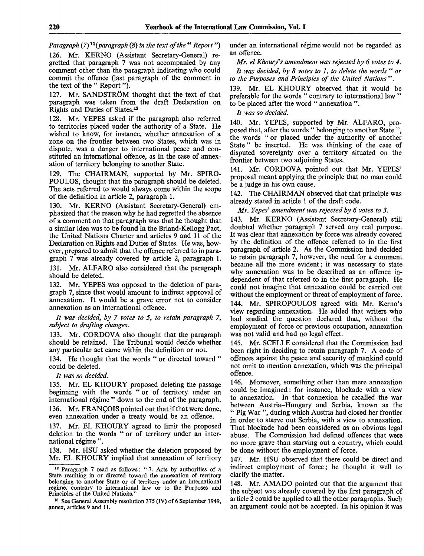Paragraph (7)<sup>12</sup> (paragraph (8) in the text of the " Report ")

126. Mr. KERNO (Assistant Secretary-General) regretted that paragraph 7 was not accompanied by any comment other than the paragraph indicating who could commit the offence (last paragraph of the comment in the text of the " Report").

127. Mr. SANDSTRÖM thought that the text of that paragraph was taken from the draft Declaration on Rights and Duties of States.<sup>13</sup>

128. Mr. YEPES asked if the paragraph also referred to territories placed under the authority of a State. He wished to know, for instance, whether annexation of a zone on the frontier between two States, which was in dispute, was a danger to international peace and constituted an international offence, as in the case of annexation of territory belonging to another State.

129. The CHAIRMAN, supported by Mr. SPIRO-POULOS, thought that the paragraph should be deleted. The acts referred to would always come within the scope of the definition in article 2, paragraph 1.

Mr. KERNO (Assistant Secretary-General) emphasized that the reason why he had regretted the absence of a comment on that paragraph was that he thought that a similar idea was to be found in the Briand-Kellogg Pact, the United Nations Charter and articles 9 and 11 of the Declaration on Rights and Duties of States. He was, however, prepared to admit that the offence referred to in paragraph 7 was already covered by article 2, paragraph 1. 131. Mr. ALFARO also considered that the paragraph should be deleted.

132. Mr. YEPES was opposed to the deletion of paragraph 7, since that would amount to indirect approval of annexation. It would be a grave error not to consider annexation as an international offence.

// *was decided, by 7 votes to 5, to retain paragraph 7, subject to drafting changes.*

133. Mr. CORDOVA also thought that the paragraph should be retained. The Tribunal would decide whether any particular act came within the definition or not.

134. He thought that the words " or directed toward " could be deleted.

*It was so decided.*

135. Mr. EL KHOURY proposed deleting the passage beginning with the words "or of territory under an international régime " down to the end of the paragraph. 136. Mr. FRANCOIS pointed out that if that were done, even annexation under a treaty would be an offence.

137. Mr. EL KHOURY agreed to limit the proposed deletion to the words " or of territory under an international régime".

138. Mr. HSU asked whether the deletion proposed by Mr. EL KHOURY implied that annexation of territory under an international régime would not be regarded as an offence.

*Mr. el Khoury's amendment was rejected by 6 votes to 4.*

*It was decided, by 8 votes to 1, to delete the words* " *or to the Purposes and Principles of the United Nations* ".

139. Mr. EL KHOURY observed that it would be preferable for the words " contrary to international law" to be placed after the word " annexation ".

*It was so decided.*

140. Mr. YEPES, supported by Mr. ALFARO, proposed that, after the words " belonging to another State", the words " or placed under the authority of another State" be inserted. He was thinking of the case of disputed sovereignty over a territory situated on the frontier between two adjoining States.

141. Mr. CORDOVA pointed out that Mr. YEPES' proposal meant applying the principle that no man could be a judge in his own cause.

142. The CHAIRMAN observed that that principle was already stated in article 1 of the draft code.

*Mr. Yepes' amendment was rejected by 6 votes to 3.*

143. Mr. KERNO (Assistant Secretary-General) still doubted whether paragraph 7 served any real purpose. It was clear that annexation by force was already covered by the definition of the offence referred to in the first paragraph of article 2. As the Commission had decided to retain paragraph 7, however, the need for a comment became all the more evident; it was necessary to state why annexation was to be described as an offence independent of that referred to in the first paragraph. He could not imagine that annexation could be carried out without the employment or threat of employment of force. 144. Mr. SPIROPOULOS agreed with Mr. Kerno's view regarding annexation. He added that writers who had studied the question declared that, without the employment of force or previous occupation, annexation was not valid and had no legal effect.

145. Mr. SCELLE considered that the Commission had been right in deciding to retain paragraph 7. A code of offences against the peace and security of mankind could not omit to mention annexation, which was the principal offence.

146. Moreover, something other than mere annexation could be imagined: for instance, blockade with a view to annexation. In that connexion he recalled the war between Austria-Hungary and Serbia, known as the " Pig War ", during which Austria had closed her frontier in order to starve out Serbia, with a view to annexation. That blockade had been considered as an obvious legal abuse. The Commission had defined offences that were no more grave than starving out a country, which could be done without the employment of force.

147. Mr. HSU observed that there could be direct and indirect employment of force; he thought it well to clarify the matter.

148. Mr. AMADO pointed out that the argument that the subject was already covered by the first paragraph of article 2 could be applied to all the other paragraphs. Such an argument could not be accepted. In his opinion it was

<sup>&</sup>lt;sup>12</sup> Paragraph 7 read as follows: "7. Acts by authorities of a State resulting in or directed toward the annexation of territory belonging to another State or of territory under an international regime, contrary to international law or to the Purposes and Principles of the United Nations.'

<sup>&</sup>lt;sup>13</sup> See General Assembly resolution 375 (IV) of 6 September 1949, annex, articles 9 and 11.